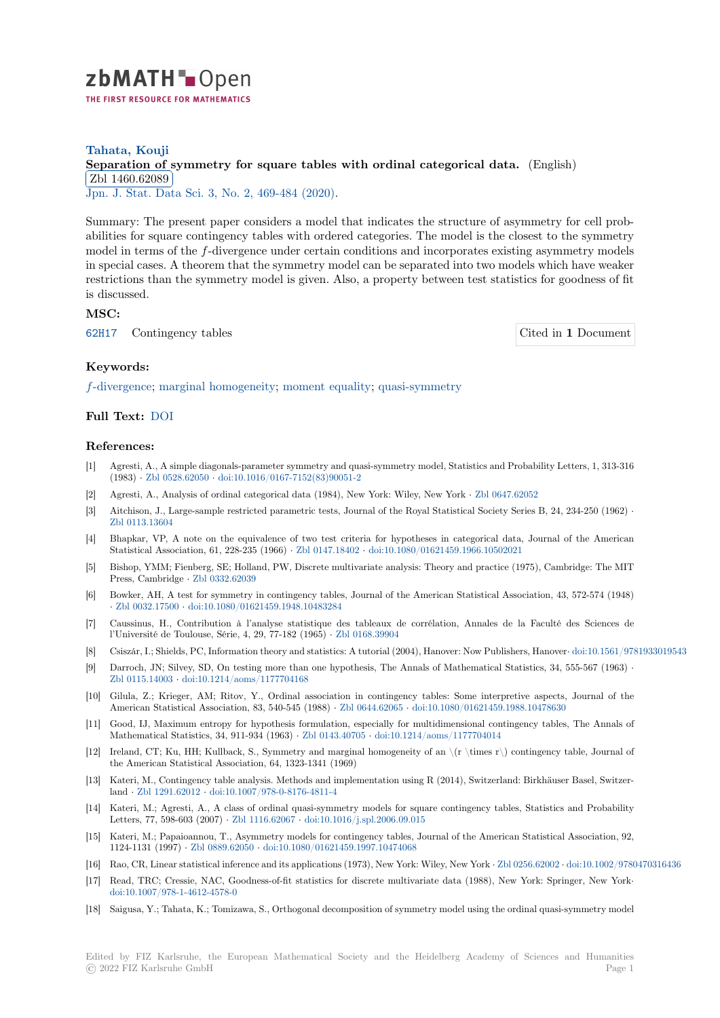

# **Tahata, Kouji** [S](https://zbmath.org/)eparation of symmetry for square tables with ordinal categorical data. (English) ✂ ✁ Jpn. J. Stat. Data Sci. 3, No. 2, 469-484 (2020). Zbl 1460.62089

[Summary: The present paper considers a model that indicates the structure of asy](https://zbmath.org/1460.62089)mmetry for cell prob[abilities for square](https://zbmath.org/1460.62089) contingency tables with ordered categories. The model is the closest to the symmetry [model in terms of the](https://zbmath.org/journals/?q=se:9452) *f*[-divergence under certain](https://zbmath.org/?q=in:462754) conditions and incorporates existing asymmetry models in special cases. A theorem that the symmetry model can be separated into two models which have weaker restrictions than the symmetry model is given. Also, a property between test statistics for goodness of fit is discussed.

## **MSC:**

62H17 Contingency tables Cited in **1** Document

### **Keywords:**

*f*[-dive](https://zbmath.org/classification/?q=cc:62H17)rgence; marginal homogeneity; moment equality; quasi-symmetry

### **Full Text:** DOI

#### **[References:](https://zbmath.org/?q=ut:%5C%28f%5C%29-divergence)**

- [1] Agresti, A., A simple diagonals-parameter symmetry and quasi-symmetry model, Statistics and Probability Letters, 1, 313-316 (1983) *·* [Zbl 052](https://dx.doi.org/10.1007/s42081-019-00066-8)8.62050 *·* doi:10.1016/0167-7152(83)90051-2
- [2] Agresti, A., Analysis of ordinal categorical data (1984), New York: Wiley, New York *·* Zbl 0647.62052
- [3] Aitchison, J., Large-sample restricted parametric tests, Journal of the Royal Statistical Society Series B, 24, 234-250 (1962) *·* Zbl 0113.13604
- [4] Bhapkar[, VP, A note o](https://zbmath.org/0528.62050)n [the equivalence of two test criter](https://dx.doi.org/10.1016/0167-7152(83)90051-2)ia for hypotheses in categorical data, Journal of the American Statistical Association, 61, 228-235 (1966) *·* Zbl 0147.18402 *·* doi:10.1080/01621459.19[66.10502021](https://zbmath.org/0647.62052)
- [5] Bishop, YMM; Fienberg, SE; Holland, PW, Discrete multivariate analysis: Theory and practice (1975), Cambridge: The MIT [Press, Cambrid](https://zbmath.org/0113.13604)ge *·* Zbl 0332.62039
- [6] Bowker, AH, A test for symmetry in contingency tables, Journal of the American Statistical Association, 43, 572-574 (1948) *·* Zbl 0032.17500 *·* doi:10.1080/01621459.194[8.10483284](https://zbmath.org/0147.18402)
- [7] Caussinus, H., Contribution à l'analyse statistique des tableaux de corrélation, Annales de la Faculté des Sciences de l'Université de Toul[ouse, Série, 4, 2](https://zbmath.org/0332.62039)9, 77-182 (1965) *·* Zbl 0168.39904
- [8] Csiszár, I.; Shields, PC, Information theory and statistics: A tutorial (2004), Hanover: Now Publishers, Hanover*·* doi:10.1561/9781933019543
- [9] [Darroch, JN; Silv](https://zbmath.org/0032.17500)e[y, SD, On testing more than one hyp](https://dx.doi.org/10.1080/01621459.1948.10483284)othesis, The Annals of Mathematical Statistics, 34, 555-567 (1963) *·* Zbl 0115.14003 *·* doi:10.1214/aoms/1177704168
- [10] Gilula, Z.; Krieger, AM; Ritov, Y., Ordinal associa[tion in continge](https://zbmath.org/0168.39904)ncy tables: Some interpretive aspects, Journal of the American Statistical Association, 83, 540-545 (1988) *·* Zbl 0644.62065 *·* doi:10.1080/01621459.1988.10478630
- [11] Good, IJ, Maximum entropy for hypothesis formulation, especially for multidimensional contingency tables, The Annals of [Mathematical S](https://zbmath.org/0115.14003)t[atistics, 34, 911-934 \(1963\)](https://dx.doi.org/10.1214/aoms/1177704168) *·* Zbl 0143.40705 *·* doi:10.1214/aoms/1177704014
- [12] Ireland, CT; Ku, HH; Kullback, S., Symmetry and marginal homogeneity of an \(r \times r\) contingency table, Journal of the American Statistical Association, 64, 1323-1341 (1[969\)](https://zbmath.org/0644.62065)
- [13] Kateri, M., Contingency table analysis. Methods and implementation using R (2014), Switzerland: Birkhäuser Basel, Switzerland *·* Zbl 1291.62012 *·* doi:10.1007/978-0-817[6-4811-4](https://zbmath.org/0143.40705)
- [14] Kateri, M.; Agresti, A., A class of ordinal quasi-symmetry models for square contingency tables, Statistics and Probability Letters, 77, 598-603 (2007) *·* Zbl 1116.62067 *·* doi:10.1016/j.spl.2006.09.015
- [15] Kateri, M.; Papaioannou, T., Asymmetry models for contingency tables, Journal of the American Statistical Association, 92, 1124-[1131 \(1997\)](https://zbmath.org/1291.62012) *·* Zbl 0889.62050 *·* [doi:10.1080/01621](https://dx.doi.org/10.1007/978-0-8176-4811-4)459.1997.10474068
- [16] Rao, CR, Linear statistical inference and its applications (1973), New York: Wiley, New York *·* Zbl 0256.62002 *·* doi:10.1002/9780470316436
- [17] Read, TRC; Cressie, NAC, [Goodness-of-fit](https://zbmath.org/1116.62067) st[atistics for discrete multivari](https://dx.doi.org/10.1016/j.spl.2006.09.015)ate data (1988), New York: Springer, New York*·* doi:10.1007/978-1-4612-4578-0
- [18] Saigusa, Y.; Tahat[a, K.; Tomizawa,](https://zbmath.org/0889.62050) [S., Orthogonal decomposition of symm](https://dx.doi.org/10.1080/01621459.1997.10474068)etry model using the ordinal quasi-symmetry model